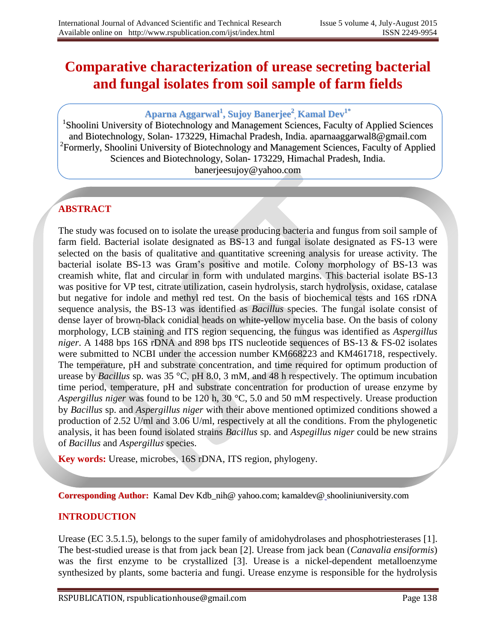# **Comparative characterization of urease secreting bacterial and fungal isolates from soil sample of farm fields**

# **Aparna Aggarwal 1 , Sujoy Banerjee 2 , Kamal Dev 1\***

<sup>1</sup>Shoolini University of Biotechnology and Management Sciences, Faculty of Applied Sciences and Biotechnology, Solan- 173229, Himachal Pradesh, India. aparnaaggarwal8@gmail.com <sup>2</sup> Formerly, Shoolini University of Biotechnology and Management Sciences, Faculty of Applied Sciences and Biotechnology, Solan- 173229, Himachal Pradesh, India. banerjeesujoy@yahoo.com

# **ABSTRACT**

The study was focused on to isolate the urease producing bacteria and fungus from soil sample of farm field. Bacterial isolate designated as BS-13 and fungal isolate designated as FS-13 were selected on the basis of qualitative and quantitative screening analysis for urease activity. The bacterial isolate BS-13 was Gram's positive and motile. Colony morphology of BS-13 was creamish white, flat and circular in form with undulated margins. This bacterial isolate BS-13 was positive for VP test, citrate utilization, casein hydrolysis, starch hydrolysis, oxidase, catalase but negative for indole and methyl red test. On the basis of biochemical tests and 16S rDNA sequence analysis, the BS-13 was identified as *Bacillus* species. The fungal isolate consist of dense layer of brown-black conidial heads on white-yellow mycelia base. On the basis of colony morphology, LCB staining and ITS region sequencing, the fungus was identified as *Aspergillus niger*. A 1488 bps 16S rDNA and 898 bps ITS nucleotide sequences of BS-13 & FS-02 isolates were submitted to NCBI under the accession number KM668223 and KM461718, respectively. The temperature, pH and substrate concentration, and time required for optimum production of urease by *Bacillus* sp. was 35 °C, pH 8.0, 3 mM, and 48 h respectively. The optimum incubation time period, temperature, pH and substrate concentration for production of urease enzyme by *Aspergillus niger* was found to be 120 h, 30 °C, 5.0 and 50 mM respectively. Urease production by *Bacillus* sp. and *Aspergillus niger* with their above mentioned optimized conditions showed a production of 2.52 U/ml and 3.06 U/ml, respectively at all the conditions. From the phylogenetic analysis, it has been found isolated strains *Bacillus* sp. and *Aspegillus niger* could be new strains of *Bacillus* and *Aspergillus* species.

**Key words:** Urease, microbes, 16S rDNA, ITS region, phylogeny.

**Corresponding Author:** Kamal Dev Kdb\_nih@ yahoo.com; kamaldev@ shooliniuniversity.com

## **INTRODUCTION**

Urease (EC 3.5.1.5), belongs to the super family of amidohydrolases and phosphotriesterases [1]. The best-studied urease is that from jack bean [2]. Urease from jack bean (*Canavalia ensiformis*) was the first enzyme to be crystallized [3]. Urease is a nickel-dependent metalloenzyme synthesized by plants, some bacteria and fungi. Urease enzyme is responsible for the hydrolysis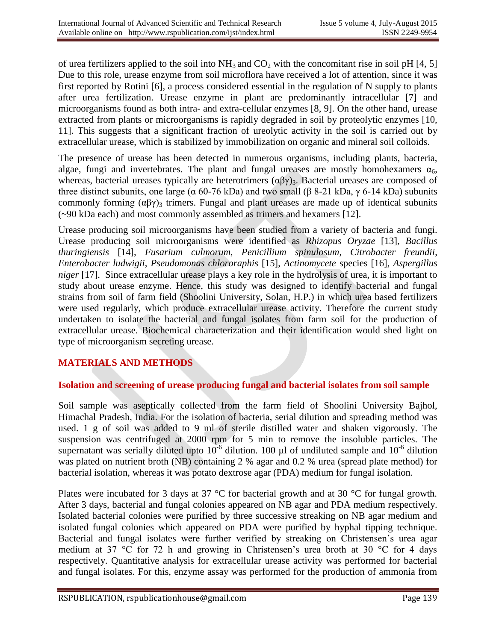of urea fertilizers applied to the soil into  $NH_3$  and  $CO_2$  with the concomitant rise in soil pH [4, 5] Due to this role, urease enzyme from soil microflora have received a lot of attention, since it was first reported by Rotini [6], a process considered essential in the regulation of N supply to plants after urea fertilization. Urease enzyme in plant are predominantly intracellular [7] and microorganisms found as both intra- and extra-cellular enzymes [8, 9]. On the other hand, urease extracted from plants or microorganisms is rapidly degraded in soil by proteolytic enzymes [10, 11]. This suggests that a significant fraction of ureolytic activity in the soil is carried out by extracellular urease, which is stabilized by immobilization on organic and mineral soil colloids.

The presence of urease has been detected in numerous organisms, including plants, bacteria, algae, fungi and invertebrates. The plant and fungal ureases are mostly homohexamers  $\alpha_6$ , whereas, bacterial ureases typically are heterotrimers  $(\alpha\beta\gamma)_3$ . Bacterial ureases are composed of three distinct subunits, one large ( $α$  60-76 kDa) and two small ( $β$  8-21 kDa,  $γ$  6-14 kDa) subunits commonly forming  $(\alpha\beta\gamma)_3$  trimers. Fungal and plant ureases are made up of identical subunits (~90 kDa each) and most commonly assembled as trimers and hexamers [12].

Urease producing soil microorganisms have been studied from a variety of bacteria and fungi. Urease producing soil microorganisms were identified as *Rhizopus Oryzae* [13], *Bacillus thuringiensis* [14], *Fusarium culmorum*, *Penicillium spinulosum*, *Citrobacter freundii*, *Enterobacter ludwigii*, *Pseudomonas chlororaphis* [15], *Actinomycete* species [16], *Aspergillus niger* [17]. Since extracellular urease plays a key role in the hydrolysis of urea, it is important to study about urease enzyme. Hence, this study was designed to identify bacterial and fungal strains from soil of farm field (Shoolini University, Solan, H.P.) in which urea based fertilizers were used regularly, which produce extracellular urease activity. Therefore the current study undertaken to isolate the bacterial and fungal isolates from farm soil for the production of extracellular urease. Biochemical characterization and their identification would shed light on type of microorganism secreting urease.

## **MATERIALS AND METHODS**

#### **Isolation and screening of urease producing fungal and bacterial isolates from soil sample**

Soil sample was aseptically collected from the farm field of Shoolini University Bajhol, Himachal Pradesh, India. For the isolation of bacteria, serial dilution and spreading method was used. 1 g of soil was added to 9 ml of sterile distilled water and shaken vigorously. The suspension was centrifuged at 2000 rpm for 5 min to remove the insoluble particles. The supernatant was serially diluted upto  $10^{-6}$  dilution. 100 µl of undiluted sample and  $10^{-6}$  dilution was plated on nutrient broth (NB) containing 2 % agar and 0.2 % urea (spread plate method) for bacterial isolation, whereas it was potato dextrose agar (PDA) medium for fungal isolation.

Plates were incubated for 3 days at 37 °C for bacterial growth and at 30 °C for fungal growth. After 3 days, bacterial and fungal colonies appeared on NB agar and PDA medium respectively. Isolated bacterial colonies were purified by three successive streaking on NB agar medium and isolated fungal colonies which appeared on PDA were purified by hyphal tipping technique. Bacterial and fungal isolates were further verified by streaking on Christensen's urea agar medium at 37 °C for 72 h and growing in Christensen's urea broth at 30 °C for 4 days respectively. Quantitative analysis for extracellular urease activity was performed for bacterial and fungal isolates. For this, enzyme assay was performed for the production of ammonia from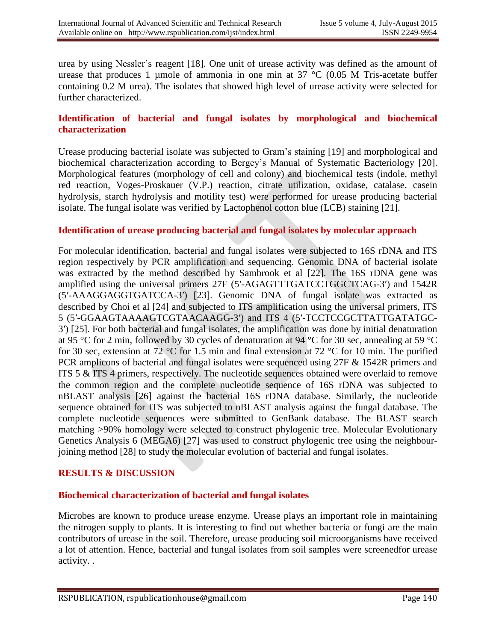urea by using Nessler's reagent [18]. One unit of urease activity was defined as the amount of urease that produces 1 µmole of ammonia in one min at  $37 \text{ °C}$  (0.05 M Tris-acetate buffer containing 0.2 M urea). The isolates that showed high level of urease activity were selected for further characterized.

#### **Identification of bacterial and fungal isolates by morphological and biochemical characterization**

Urease producing bacterial isolate was subjected to Gram's staining [19] and morphological and biochemical characterization according to Bergey's Manual of Systematic Bacteriology [20]. Morphological features (morphology of cell and colony) and biochemical tests (indole, methyl red reaction, Voges-Proskauer (V.P.) reaction, citrate utilization, oxidase, catalase, casein hydrolysis, starch hydrolysis and motility test) were performed for urease producing bacterial isolate. The fungal isolate was verified by Lactophenol cotton blue (LCB) staining [21].

#### **Identification of urease producing bacterial and fungal isolates by molecular approach**

For molecular identification, bacterial and fungal isolates were subjected to 16S rDNA and ITS region respectively by PCR amplification and sequencing. Genomic DNA of bacterial isolate was extracted by the method described by Sambrook et al [22]. The 16S rDNA gene was amplified using the universal primers 27F (5′-AGAGTTTGATCCTGGCTCAG-3′) and 1542R (5′-AAAGGAGGTGATCCA-3′) [23]. Genomic DNA of fungal isolate was extracted as described by Choi et al [24] and subjected to ITS amplification using the universal primers, ITS 5 (5′-GGAAGTAAAAGTCGTAACAAGG-3′) and ITS 4 (5′-TCCTCCGCTTATTGATATGC-3′) [25]. For both bacterial and fungal isolates, the amplification was done by initial denaturation at 95 °C for 2 min, followed by 30 cycles of denaturation at 94 °C for 30 sec, annealing at 59 °C for 30 sec, extension at 72 °C for 1.5 min and final extension at 72 °C for 10 min. The purified PCR amplicons of bacterial and fungal isolates were sequenced using 27F & 1542R primers and ITS 5 & ITS 4 primers, respectively. The nucleotide sequences obtained were overlaid to remove the common region and the complete nucleotide sequence of 16S rDNA was subjected to nBLAST analysis [26] against the bacterial 16S rDNA database. Similarly, the nucleotide sequence obtained for ITS was subjected to nBLAST analysis against the fungal database. The complete nucleotide sequences were submitted to GenBank database. The BLAST search matching >90% homology were selected to construct phylogenic tree. Molecular Evolutionary Genetics Analysis 6 (MEGA6) [27] was used to construct phylogenic tree using the neighbourjoining method [28] to study the molecular evolution of bacterial and fungal isolates.

#### **RESULTS & DISCUSSION**

#### **Biochemical characterization of bacterial and fungal isolates**

Microbes are known to produce urease enzyme. Urease plays an important role in maintaining the nitrogen supply to plants. It is interesting to find out whether bacteria or fungi are the main contributors of urease in the soil. Therefore, urease producing soil microorganisms have received a lot of attention. Hence, bacterial and fungal isolates from soil samples were screenedfor urease activity. .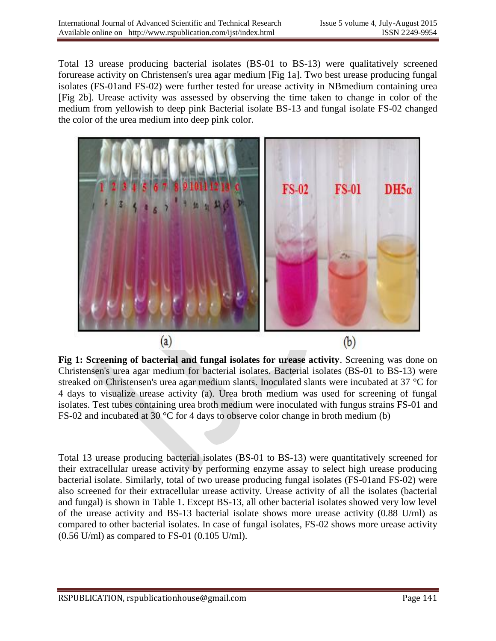Total 13 urease producing bacterial isolates (BS-01 to BS-13) were qualitatively screened forurease activity on Christensen's urea agar medium [Fig 1a]. Two best urease producing fungal isolates (FS-01and FS-02) were further tested for urease activity in NBmedium containing urea [Fig 2b]. Urease activity was assessed by observing the time taken to change in color of the medium from yellowish to deep pink Bacterial isolate BS-13 and fungal isolate FS-02 changed the color of the urea medium into deep pink color.



**Fig 1: Screening of bacterial and fungal isolates for urease activity**. Screening was done on Christensen's urea agar medium for bacterial isolates. Bacterial isolates (BS-01 to BS-13) were streaked on Christensen's urea agar medium slants. Inoculated slants were incubated at 37 °C for 4 days to visualize urease activity (a). Urea broth medium was used for screening of fungal isolates. Test tubes containing urea broth medium were inoculated with fungus strains FS-01 and FS-02 and incubated at 30 °C for 4 days to observe color change in broth medium (b)

Total 13 urease producing bacterial isolates (BS-01 to BS-13) were quantitatively screened for their extracellular urease activity by performing enzyme assay to select high urease producing bacterial isolate. Similarly, total of two urease producing fungal isolates (FS-01and FS-02) were also screened for their extracellular urease activity. Urease activity of all the isolates (bacterial and fungal) is shown in Table 1. Except BS-13, all other bacterial isolates showed very low level of the urease activity and BS-13 bacterial isolate shows more urease activity (0.88 U/ml) as compared to other bacterial isolates. In case of fungal isolates, FS-02 shows more urease activity  $(0.56 \text{ U/ml})$  as compared to FS-01  $(0.105 \text{ U/ml})$ .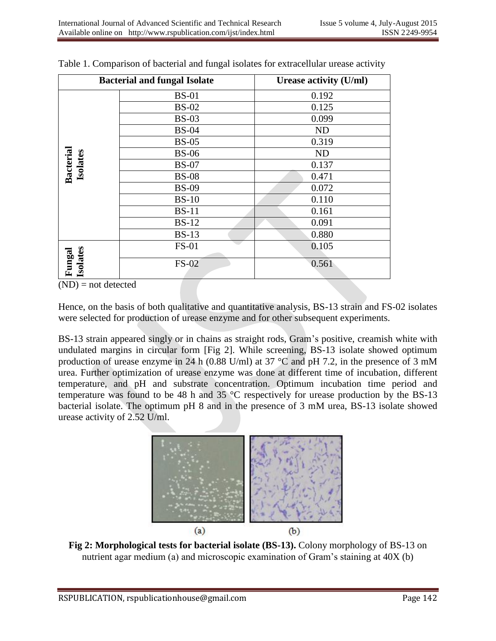| <b>Bacterial and fungal Isolate</b> |              | Urease activity (U/ml) |
|-------------------------------------|--------------|------------------------|
| <b>Bacterial</b><br>Isolates        | <b>BS-01</b> | 0.192                  |
|                                     | <b>BS-02</b> | 0.125                  |
|                                     | $BS-03$      | 0.099                  |
|                                     | <b>BS-04</b> | <b>ND</b>              |
|                                     | <b>BS-05</b> | 0.319                  |
|                                     | <b>BS-06</b> | <b>ND</b>              |
|                                     | <b>BS-07</b> | 0.137                  |
|                                     | <b>BS-08</b> | 0.471                  |
|                                     | <b>BS-09</b> | 0.072                  |
|                                     | <b>BS-10</b> | 0.110                  |
|                                     | <b>BS-11</b> | 0.161                  |
|                                     | <b>BS-12</b> | 0.091                  |
|                                     | $BS-13$      | 0.880                  |
| Isolates<br>Fungal                  | <b>FS-01</b> | 0.105                  |
|                                     | <b>FS-02</b> | 0.561                  |

Table 1. Comparison of bacterial and fungal isolates for extracellular urease activity

 $(ND)$  = not detected

Hence, on the basis of both qualitative and quantitative analysis, BS-13 strain and FS-02 isolates were selected for production of urease enzyme and for other subsequent experiments.

BS-13 strain appeared singly or in chains as straight rods, Gram's positive, creamish white with undulated margins in circular form [Fig 2]. While screening, BS-13 isolate showed optimum production of urease enzyme in 24 h (0.88 U/ml) at 37  $^{\circ}$ C and pH 7.2, in the presence of 3 mM urea. Further optimization of urease enzyme was done at different time of incubation, different temperature, and pH and substrate concentration. Optimum incubation time period and temperature was found to be 48 h and 35 °C respectively for urease production by the BS-13 bacterial isolate. The optimum pH 8 and in the presence of 3 mM urea, BS-13 isolate showed urease activity of 2.52 U/ml.



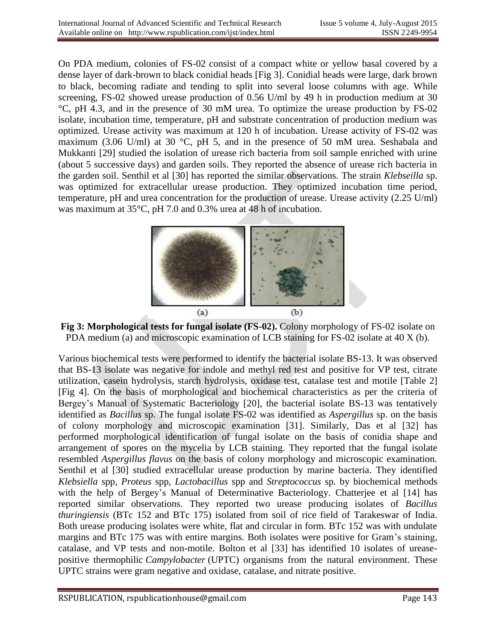On PDA medium, colonies of FS-02 consist of a compact white or yellow basal covered by a dense layer of dark-brown to black conidial heads [Fig 3]. Conidial heads were large, dark brown to black, becoming radiate and tending to split into several loose columns with age. While screening, FS-02 showed urease production of 0.56 U/ml by 49 h in production medium at 30 °C, pH 4.3, and in the presence of 30 mM urea. To optimize the urease production by FS-02 isolate, incubation time, temperature, pH and substrate concentration of production medium was optimized. Urease activity was maximum at 120 h of incubation. Urease activity of FS-02 was maximum (3.06 U/ml) at 30 °C, pH 5, and in the presence of 50 mM urea. Seshabala and Mukkanti [29] studied the isolation of urease rich bacteria from soil sample enriched with urine (about 5 successive days) and garden soils. They reported the absence of urease rich bacteria in the garden soil. Senthil et al [30] has reported the similar observations. The strain *Klebseilla* sp. was optimized for extracellular urease production. They optimized incubation time period, temperature, pH and urea concentration for the production of urease. Urease activity (2.25 U/ml) was maximum at 35°C, pH 7.0 and 0.3% urea at 48 h of incubation.



**Fig 3: Morphological tests for fungal isolate (FS-02).** Colony morphology of FS-02 isolate on PDA medium (a) and microscopic examination of LCB staining for FS-02 isolate at 40 X (b).

Various biochemical tests were performed to identify the bacterial isolate BS-13. It was observed that BS-13 isolate was negative for indole and methyl red test and positive for VP test, citrate utilization, casein hydrolysis, starch hydrolysis, oxidase test, catalase test and motile [Table 2] [Fig 4]. On the basis of morphological and biochemical characteristics as per the criteria of Bergey's Manual of Systematic Bacteriology [20], the bacterial isolate BS-13 was tentatively identified as *Bacillus* sp. The fungal isolate FS-02 was identified as *Aspergillus* sp. on the basis of colony morphology and microscopic examination [31]. Similarly, Das et al [32] has performed morphological identification of fungal isolate on the basis of conidia shape and arrangement of spores on the mycelia by LCB staining. They reported that the fungal isolate resembled *Aspergillus flavus* on the basis of colony morphology and microscopic examination. Senthil et al [30] studied extracellular urease production by marine bacteria. They identified *Klebsiella* spp*, Proteus* spp*, Lactobacillus* spp and *Streptococcus* sp*.* by biochemical methods with the help of Bergey's Manual of Determinative Bacteriology. Chatterjee et al [14] has reported similar observations. They reported two urease producing isolates of *Bacillus thuringiensis* (BTc 152 and BTc 175) isolated from soil of rice field of Tarakeswar of India. Both urease producing isolates were white, flat and circular in form. BTc 152 was with undulate margins and BTc 175 was with entire margins. Both isolates were positive for Gram's staining, catalase, and VP tests and non-motile. Bolton et al [33] has identified 10 isolates of ureasepositive thermophilic *Campylobacter* (UPTC) organisms from the natural environment. These UPTC strains were gram negative and oxidase, catalase, and nitrate positive.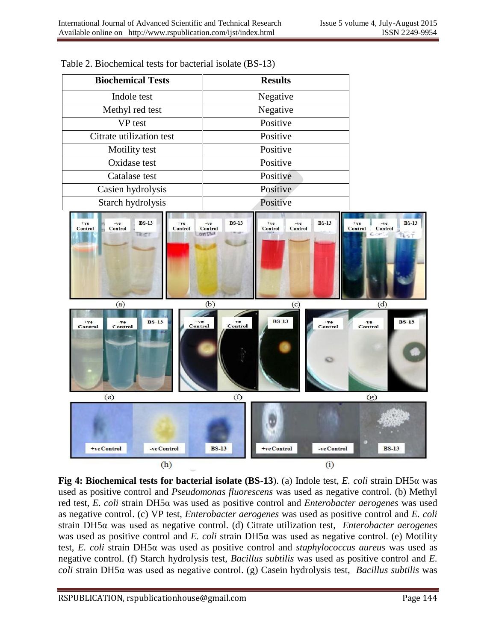



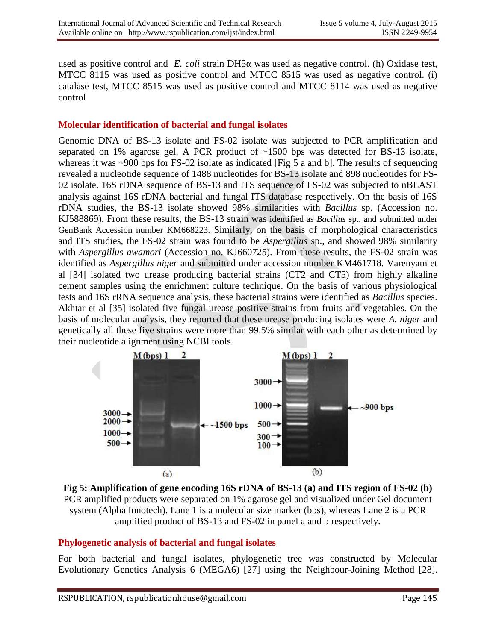used as positive control and *E. coli* strain DH5α was used as negative control. (h) Oxidase test, MTCC 8115 was used as positive control and MTCC 8515 was used as negative control. (i) catalase test, MTCC 8515 was used as positive control and MTCC 8114 was used as negative control

#### **Molecular identification of bacterial and fungal isolates**

Genomic DNA of BS-13 isolate and FS-02 isolate was subjected to PCR amplification and separated on 1% agarose gel. A PCR product of  $\sim$ 1500 bps was detected for BS-13 isolate, whereas it was  $\sim$ 900 bps for FS-02 isolate as indicated [Fig 5 a and b]. The results of sequencing revealed a nucleotide sequence of 1488 nucleotides for BS-13 isolate and 898 nucleotides for FS-02 isolate. 16S rDNA sequence of BS-13 and ITS sequence of FS-02 was subjected to nBLAST analysis against 16S rDNA bacterial and fungal ITS database respectively. On the basis of 16S rDNA studies, the BS-13 isolate showed 98% similarities with *Bacillus* sp. (Accession no. KJ588869). From these results, the BS-13 strain was identified as *Bacillus* sp., and submitted under GenBank Accession number KM668223. Similarly, on the basis of morphological characteristics and ITS studies, the FS-02 strain was found to be *Aspergillus* sp., and showed 98% similarity with *Aspergillus awamori* (Accession no. KJ660725). From these results, the FS-02 strain was identified as *Aspergillus niger* and submitted under accession number KM461718. Varenyam et al [34] isolated two urease producing bacterial strains (CT2 and CT5) from highly alkaline cement samples using the enrichment culture technique. On the basis of various physiological tests and 16S rRNA sequence analysis, these bacterial strains were identified as *Bacillus* species. Akhtar et al [35] isolated five fungal urease positive strains from fruits and vegetables. On the basis of molecular analysis, they reported that these urease producing isolates were *A. niger* and genetically all these five strains were more than 99.5% similar with each other as determined by their nucleotide alignment using NCBI tools.



**Fig 5: Amplification of gene encoding 16S rDNA of BS-13 (a) and ITS region of FS-02 (b)**  PCR amplified products were separated on 1% agarose gel and visualized under Gel document system (Alpha Innotech). Lane 1 is a molecular size marker (bps), whereas Lane 2 is a PCR amplified product of BS-13 and FS-02 in panel a and b respectively.

#### **Phylogenetic analysis of bacterial and fungal isolates**

For both bacterial and fungal isolates, phylogenetic tree was constructed by Molecular Evolutionary Genetics Analysis 6 (MEGA6) [27] using the Neighbour-Joining Method [28].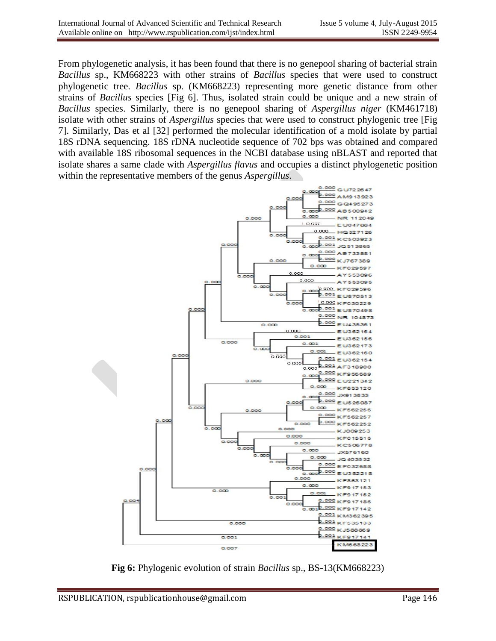From phylogenetic analysis, it has been found that there is no genepool sharing of bacterial strain *Bacillus* sp., KM668223 with other strains of *Bacillus* species that were used to construct phylogenetic tree. *Bacillus* sp. (KM668223) representing more genetic distance from other strains of *Bacillus* species [Fig 6]. Thus, isolated strain could be unique and a new strain of *Bacillus* species. Similarly, there is no genepool sharing of *Aspergillus niger* (KM461718) isolate with other strains of *Aspergillus* species that were used to construct phylogenic tree [Fig 7]. Similarly, Das et al [32] performed the molecular identification of a mold isolate by partial 18S rDNA sequencing. 18S rDNA nucleotide sequence of 702 bps was obtained and compared with available 18S ribosomal sequences in the NCBI database using nBLAST and reported that isolate shares a same clade with *Aspergillus flavus* and occupies a distinct phylogenetic position within the representative members of the genus *Aspergillus*.



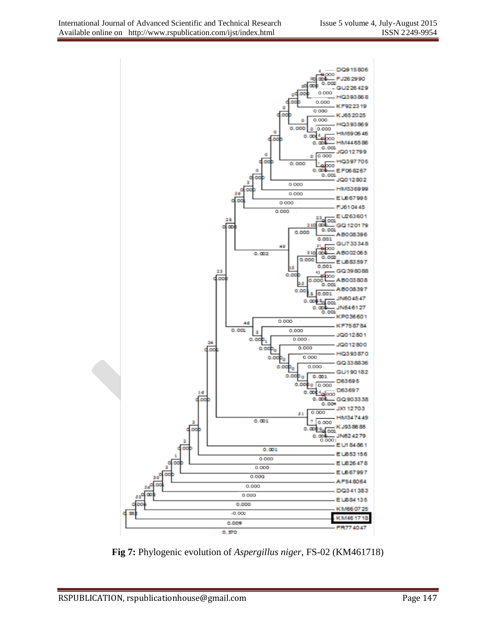

**Fig 7:** Phylogenic evolution of *Aspergillus niger*, FS-02 (KM461718)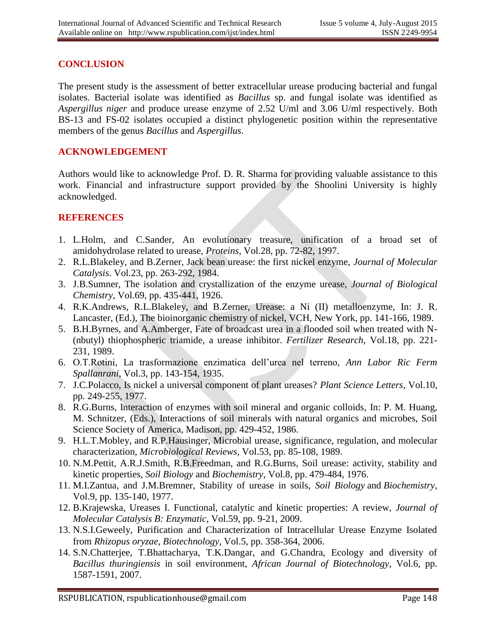#### **CONCLUSION**

The present study is the assessment of better extracellular urease producing bacterial and fungal isolates. Bacterial isolate was identified as *Bacillus* sp. and fungal isolate was identified as *Aspergillus niger* and produce urease enzyme of 2.52 U/ml and 3.06 U/ml respectively. Both BS-13 and FS-02 isolates occupied a distinct phylogenetic position within the representative members of the genus *Bacillus* and *Aspergillus*.

#### **ACKNOWLEDGEMENT**

Authors would like to acknowledge Prof. D. R. Sharma for providing valuable assistance to this work. Financial and infrastructure support provided by the Shoolini University is highly acknowledged.

#### **REFERENCES**

- 1. L.Holm, and C.Sander, An evolutionary treasure, unification of a broad set of amidohydrolase related to urease, *Proteins*, Vol.28, pp. 72-82, 1997.
- 2. R.L.Blakeley, and B.Zerner, Jack bean urease: the first nickel enzyme, *Journal of Molecular Catalysis*. Vol.23, pp. 263-292, 1984.
- 3. J.B.Sumner, The isolation and crystallization of the enzyme urease, *Journal of Biological Chemistry*, Vol.69, pp. 435-441, 1926.
- 4. R.K.Andrews, R.L.Blakeley, and B.Zerner, Urease: a Ni (II) metalloenzyme, In: J. R. Lancaster, (Ed.), The bioinorganic chemistry of nickel, VCH, New York, pp. 141-166, 1989.
- 5. B.H.Byrnes, and A.Amberger, Fate of broadcast urea in a flooded soil when treated with N- (nbutyl) thiophospheric triamide, a urease inhibitor. *Fertilizer Research,* Vol.18, pp. 221- 231, 1989.
- 6. O.T.Rotini, La trasformazione enzimatica dell'urea nel terreno, *Ann Labor Ric Ferm Spallanrani*, Vol.3, pp. 143-154, 1935.
- 7. J.C.Polacco, Is nickel a universal component of plant ureases? *Plant Science Letters*, Vol.10, pp. 249-255, 1977.
- 8. R.G.Burns, Interaction of enzymes with soil mineral and organic colloids, In: P. M. Huang, M. Schnitzer, (Eds.), Interactions of soil minerals with natural organics and microbes, Soil Science Society of America, Madison, pp. 429-452, 1986.
- 9. H.L.T.Mobley, and R.P.Hausinger, Microbial urease, significance, regulation, and molecular characterization, *Microbiological Reviews*, Vol.53, pp. 85-108, 1989.
- 10. N.M.Pettit, A.R.J.Smith, R.B.Freedman, and R.G.Burns, Soil urease: activity, stability and kinetic properties, *Soil Biology* and *Biochemistry*, Vol.8, pp. 479-484, 1976.
- 11. M.I.Zantua, and J.M.Bremner, Stability of urease in soils, *Soil Biology* and *Biochemistry*, Vol.9, pp. 135-140, 1977.
- 12. B.Krajewska, Ureases I. Functional, catalytic and kinetic properties: A review, *Journal of Molecular Catalysis B: Enzymatic*, Vol.59, pp. 9-21, 2009.
- 13. N.S.I.Geweely, Purification and Characterization of Intracellular Urease Enzyme Isolated from *Rhizopus oryzae*, *Biotechnology*, Vol.5, pp. 358-364, 2006.
- 14. S.N.Chatterjee, T.Bhattacharya, T.K.Dangar, and G.Chandra, Ecology and diversity of *Bacillus thuringiensis* in soil environment, *African Journal of Biotechnology*, Vol.6, pp. 1587-1591, 2007.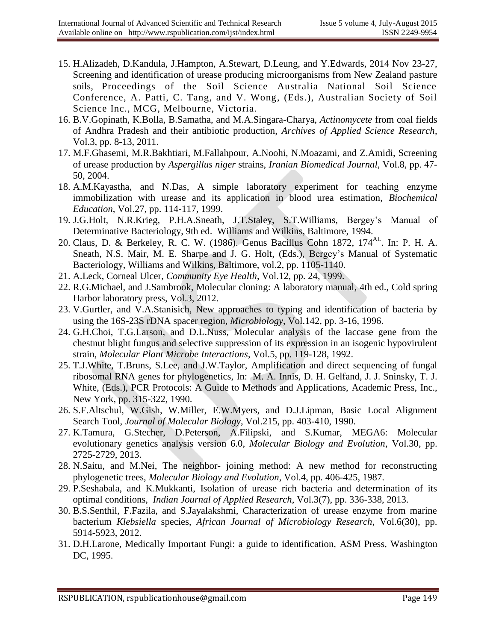- 15. H.Alizadeh, D.Kandula, J.Hampton, A.Stewart, D.Leung, and Y.Edwards, 2014 Nov 23-27, Screening and identification of urease producing microorganisms from New Zealand pasture soils, Proceedings of the Soil Science Australia National Soil Science Conference, A. Patti, C. Tang, and V. Wong, (Eds.), Australian Society of Soil Science Inc., MCG, Melbourne, Victoria.
- 16. B.V.Gopinath, K.Bolla, B.Samatha, and M.A.Singara-Charya, *Actinomycete* from coal fields of Andhra Pradesh and their antibiotic production, *Archives of Applied Science Research*, Vol.3, pp. 8-13, 2011.
- 17. M.F.Ghasemi, M.R.Bakhtiari, M.Fallahpour, A.Noohi, N.Moazami, and Z.Amidi, Screening of urease production by *Aspergillus niger* strains, *Iranian Biomedical Journal*, Vol.8, pp. 47- 50, 2004.
- 18. A.M.Kayastha, and N.Das, A simple laboratory experiment for teaching enzyme immobilization with urease and its application in blood urea estimation, *Biochemical Education*, Vol.27, pp. 114-117, 1999.
- 19. J.G.Holt, N.R.Krieg, P.H.A.Sneath, J.T.Staley, S.T.Williams, Bergey's Manual of Determinative Bacteriology, 9th ed. Williams and Wilkins, Baltimore, 1994.
- 20. Claus, D. & Berkeley, R. C. W. (1986). Genus Bacillus Cohn 1872, 174<sup>AL</sup>. In: P. H. A. Sneath, N.S. Mair, M. E. Sharpe and J. G. Holt, (Eds.), Bergey's Manual of Systematic Bacteriology, Williams and Wilkins, Baltimore, vol.2, pp. 1105-1140.
- 21. A.Leck, Corneal Ulcer, *Community Eye Health*, Vol.12, pp. 24, 1999.
- 22. R.G.Michael, and J.Sambrook, Molecular cloning: A laboratory manual, 4th ed., Cold spring Harbor laboratory press, Vol.3, 2012.
- 23. V.Gurtler, and V.A.Stanisich, New approaches to typing and identification of bacteria by using the 16S-23S rDNA spacer region, *Microbiology*, Vol.142, pp. 3-16, 1996.
- 24. G.H.Choi, T.G.Larson, and D.L.Nuss, Molecular analysis of the laccase gene from the chestnut blight fungus and selective suppression of its expression in an isogenic hypovirulent strain, *Molecular Plant Microbe Interactions*, Vol.5, pp. 119-128, 1992.
- 25. T.J.White, T.Bruns, S.Lee, and J.W.Taylor, Amplification and direct sequencing of fungal ribosomal RNA genes for phylogenetics, In: M. A. Innis, D. H. Gelfand, J. J. Sninsky, T. J. White, (Eds.), PCR Protocols: A Guide to Methods and Applications, Academic Press, Inc., New York, pp. 315-322, 1990.
- 26. S.F.Altschul, W.Gish, W.Miller, E.W.Myers, and D.J.Lipman, Basic Local Alignment Search Tool, *Journal of Molecular Biology*, Vol.215, pp. 403-410, 1990.
- 27. K.Tamura, G.Stecher, D.Peterson, A.Filipski, and S.Kumar, MEGA6: Molecular evolutionary genetics analysis version 6.0, *Molecular Biology and Evolution*, Vol.30, pp. 2725-2729, 2013.
- 28. N.Saitu, and M.Nei, The neighbor- joining method: A new method for reconstructing phylogenetic trees, *Molecular Biology and Evolution*, Vol.4, pp. 406-425, 1987.
- 29. P.Seshabala, and K.Mukkanti, Isolation of urease rich bacteria and determination of its optimal conditions, *Indian Journal of Applied Research*, Vol.3(7), pp. 336-338, 2013.
- 30. B.S.Senthil, F.Fazila, and S.Jayalakshmi, Characterization of urease enzyme from marine bacterium *Klebsiella* species, *African Journal of Microbiology Research*, Vol.6(30), pp. 5914-5923, 2012.
- 31. D.H.Larone, Medically Important Fungi: a guide to identification, ASM Press, Washington DC, 1995.